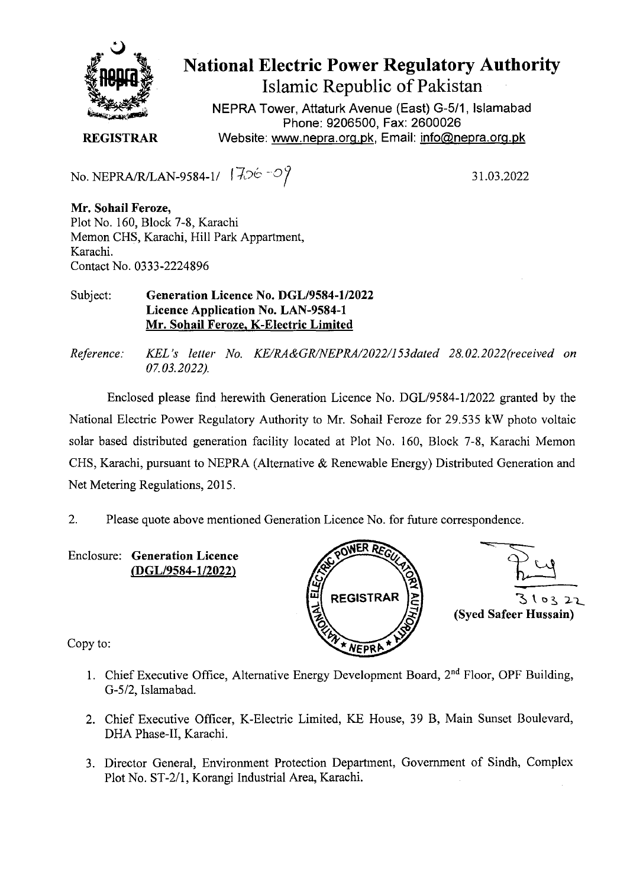

National Electric Power Regulatory Authority Islamic Republic of Pakistan

NEPRA Tower, Attaturk Avenue (East) G-511, Islamabad Phone: 9206500, Fax: 2600026 **REGISTRAR** Website: www.nepra.org.pk, Email: info@nepra.org.pk

No. NEPRA/R/LAN-9584-1/  $|706-09$ 

31.03.2022

**Mr. Sohail Feroze,**  Plot No. 160, Block 7-8, Karachi Memon CHS, Karachi, Hill Park Appartment, Karachi. Contact No. 0333-2224896

Subject: **Generation Licence No. DGL/9584-1/2022 Licence Application No. LAN-9584-1 Mr. Sohail Feroze. K-Electric Limited** 

*Reference: KEL 's letter No. KE/RA&GR/NEPRAI2O22/153dated 28. 02.2022(received on 07.03.2022).* 

Enclosed please find herewith Generation Licence No. DGL/9584-1/2022 granted by the National Electric Power Regulatory Authority to Mr. Sohail Feroze for 29.535 kW photo voltaic solar based distributed generation facility located at Plot No. 160, Block 7-8, Karachi Memon CHS, Karachi, pursuant to NEPRA (Alternative & Renewable Energy) Distributed Generation and Net Metering Regulations, 2015.

2. Please quote above mentioned Generation Licence No. for future correspondence.

Enclosure: **Generation Licence (DGL/9584-1/2022)** 





Copy to:

- 1. Chief Executive Office, Alternative Energy Development Board, 2<sup>nd</sup> Floor, OPF Building, G-5/2, Islamabad.
- 2. Chief Executive Officer, K-Electric Limited, KE House, 39 B, Main Sunset Boulevard, DHA Phase-Il, Karachi.
- 3. Director General, Environment Protection Department, Government of Sindh, Complex Plot No. ST-2/1, Korangi Industrial Area, Karachi.